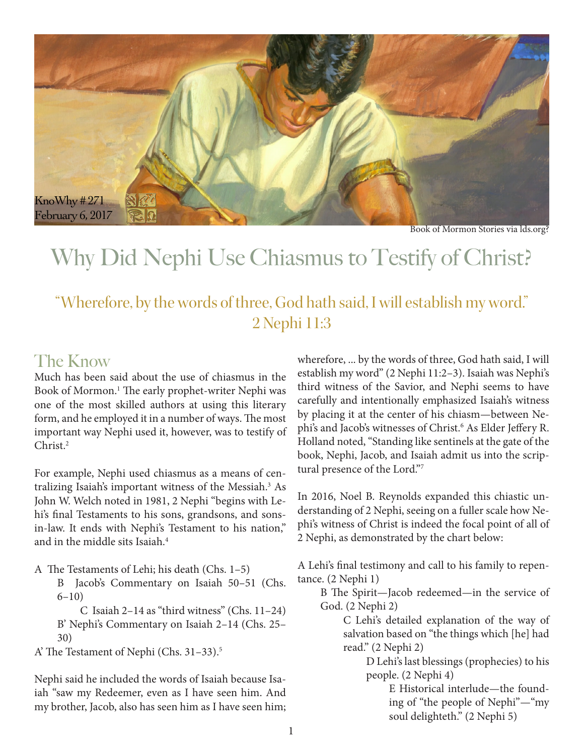

Book of Mormon Stories via lds.org?

# Why Did Nephi Use Chiasmus to Testify of Christ?

## "Wherefore, by the words of three, God hath said, I will establish my word." 2 Nephi 11:3

#### The Know

Much has been said about the use of chiasmus in the Book of Mormon.<sup>1</sup> The early prophet-writer Nephi was one of the most skilled authors at using this literary form, and he employed it in a number of ways. The most important way Nephi used it, however, was to testify of Christ.2

For example, Nephi used chiasmus as a means of centralizing Isaiah's important witness of the Messiah.3 As John W. Welch noted in 1981, 2 Nephi "begins with Lehi's final Testaments to his sons, grandsons, and sonsin-law. It ends with Nephi's Testament to his nation," and in the middle sits Isaiah.4

A The Testaments of Lehi; his death (Chs. 1–5)

B Jacob's Commentary on Isaiah 50–51 (Chs. 6–10)

C Isaiah 2–14 as "third witness" (Chs. 11–24) B' Nephi's Commentary on Isaiah 2–14 (Chs. 25– 30)

A' The Testament of Nephi (Chs. 31–33).5

Nephi said he included the words of Isaiah because Isaiah "saw my Redeemer, even as I have seen him. And my brother, Jacob, also has seen him as I have seen him;

wherefore, ... by the words of three, God hath said, I will establish my word" (2 Nephi 11:2–3). Isaiah was Nephi's third witness of the Savior, and Nephi seems to have carefully and intentionally emphasized Isaiah's witness by placing it at the center of his chiasm—between Nephi's and Jacob's witnesses of Christ.6 As Elder Jeffery R. Holland noted, "Standing like sentinels at the gate of the book, Nephi, Jacob, and Isaiah admit us into the scriptural presence of the Lord."7

In 2016, Noel B. Reynolds expanded this chiastic understanding of 2 Nephi, seeing on a fuller scale how Nephi's witness of Christ is indeed the focal point of all of 2 Nephi, as demonstrated by the chart below:

A Lehi's final testimony and call to his family to repentance. (2 Nephi 1)

B The Spirit—Jacob redeemed—in the service of God. (2 Nephi 2)

> C Lehi's detailed explanation of the way of salvation based on "the things which [he] had read." (2 Nephi 2)

> > D Lehi's last blessings (prophecies) to his people. (2 Nephi 4)

> > > E Historical interlude—the founding of "the people of Nephi"—"my soul delighteth." (2 Nephi 5)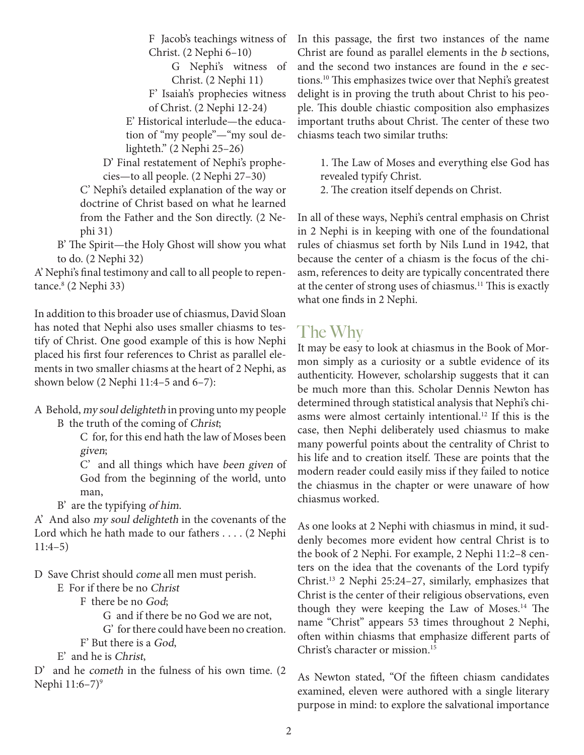F Jacob's teachings witness of Christ. (2 Nephi 6–10)

> G Nephi's witness of Christ. (2 Nephi 11)

F' Isaiah's prophecies witness

of Christ. (2 Nephi 12-24) E' Historical interlude—the educa-

tion of "my people"—"my soul delighteth." (2 Nephi 25–26)

D' Final restatement of Nephi's prophecies—to all people. (2 Nephi 27–30)

C' Nephi's detailed explanation of the way or doctrine of Christ based on what he learned from the Father and the Son directly. (2 Nephi 31)

B' The Spirit—the Holy Ghost will show you what to do. (2 Nephi 32)

A' Nephi's final testimony and call to all people to repentance.8 (2 Nephi 33)

In addition to this broader use of chiasmus, David Sloan has noted that Nephi also uses smaller chiasms to testify of Christ. One good example of this is how Nephi placed his first four references to Christ as parallel elements in two smaller chiasms at the heart of 2 Nephi, as shown below (2 Nephi 11:4–5 and 6–7):

A Behold, my soul delighteth in proving unto my people B the truth of the coming of Christ;

> C for, for this end hath the law of Moses been given;

> C' and all things which have been given of God from the beginning of the world, unto man,

B' are the typifying of him.

A' And also my soul delighteth in the covenants of the Lord which he hath made to our fathers . . . . (2 Nephi 11:4–5)

D Save Christ should come all men must perish.

E For if there be no Christ

F there be no God;

G and if there be no God we are not,

G' for there could have been no creation.

F' But there is a God,

E' and he is Christ,

D' and he cometh in the fulness of his own time. (2 Nephi 11:6-7)<sup>9</sup>

In this passage, the first two instances of the name Christ are found as parallel elements in the b sections, and the second two instances are found in the e sections.10 This emphasizes twice over that Nephi's greatest delight is in proving the truth about Christ to his people. This double chiastic composition also emphasizes important truths about Christ. The center of these two chiasms teach two similar truths:

1. The Law of Moses and everything else God has revealed typify Christ.

2. The creation itself depends on Christ.

In all of these ways, Nephi's central emphasis on Christ in 2 Nephi is in keeping with one of the foundational rules of chiasmus set forth by Nils Lund in 1942, that because the center of a chiasm is the focus of the chiasm, references to deity are typically concentrated there at the center of strong uses of chiasmus.<sup>11</sup> This is exactly what one finds in 2 Nephi.

#### The Why

It may be easy to look at chiasmus in the Book of Mormon simply as a curiosity or a subtle evidence of its authenticity. However, scholarship suggests that it can be much more than this. Scholar Dennis Newton has determined through statistical analysis that Nephi's chiasms were almost certainly intentional.12 If this is the case, then Nephi deliberately used chiasmus to make many powerful points about the centrality of Christ to his life and to creation itself. These are points that the modern reader could easily miss if they failed to notice the chiasmus in the chapter or were unaware of how chiasmus worked.

As one looks at 2 Nephi with chiasmus in mind, it suddenly becomes more evident how central Christ is to the book of 2 Nephi. For example, 2 Nephi 11:2–8 centers on the idea that the covenants of the Lord typify Christ.13 2 Nephi 25:24–27, similarly, emphasizes that Christ is the center of their religious observations, even though they were keeping the Law of Moses. $14$  The name "Christ" appears 53 times throughout 2 Nephi, often within chiasms that emphasize different parts of Christ's character or mission.15

As Newton stated, "Of the fifteen chiasm candidates examined, eleven were authored with a single literary purpose in mind: to explore the salvational importance